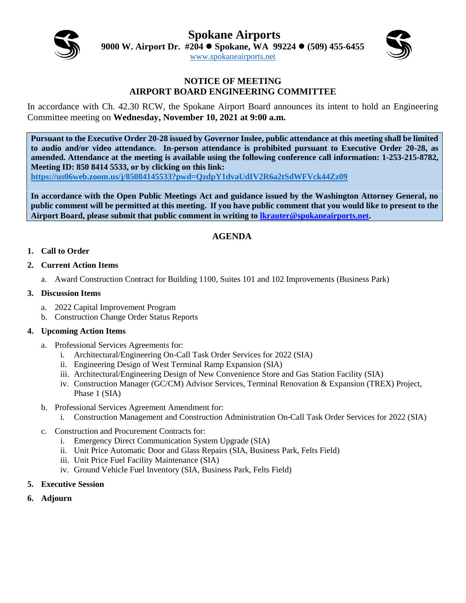**Spokane Airports**



**9000 W. Airport Dr. #204 Spokane, WA 99224 (509) 455-6455**

[www.spokaneairports.net](http://www.spokaneairports.net/)

## **NOTICE OF MEETING AIRPORT BOARD ENGINEERING COMMITTEE**

In accordance with Ch. 42.30 RCW, the Spokane Airport Board announces its intent to hold an Engineering Committee meeting on **Wednesday, November 10, 2021 at 9:00 a.m.** 

**Pursuant to the Executive Order 20-28 issued by Governor Inslee, public attendance at this meeting shall be limited to audio and/or video attendance. In-person attendance is prohibited pursuant to Executive Order 20-28, as amended. Attendance at the meeting is available using the following conference call information: 1-253-215-8782, Meeting ID: 850 8414 5533, or by clicking on this link:** 

**<https://us06web.zoom.us/j/85084145533?pwd=QzdpY1dvaUdIV2R6a2tSdWFVck44Zz09>**

**In accordance with the Open Public Meetings Act and guidance issued by the Washington Attorney General, no public comment will be permitted at this meeting. If you have public comment that you would like to present to the Airport Board, please submit that public comment in writing to [lkrauter@spokaneairports.net.](mailto:lkrauter@spokaneairports.net)**

# **AGENDA**

## **1. Call to Order**

- **2. Current Action Items** 
	- a. Award Construction Contract for Building 1100, Suites 101 and 102 Improvements (Business Park)

## **3. Discussion Items**

- a. 2022 Capital Improvement Program
- b. Construction Change Order Status Reports

#### **4. Upcoming Action Items**

- a. Professional Services Agreements for:
	- i. Architectural/Engineering On-Call Task Order Services for 2022 (SIA)
	- ii. Engineering Design of West Terminal Ramp Expansion (SIA)
	- iii. Architectural/Engineering Design of New Convenience Store and Gas Station Facility (SIA)
	- iv. Construction Manager (GC/CM) Advisor Services, Terminal Renovation & Expansion (TREX) Project, Phase 1 (SIA)
- b. Professional Services Agreement Amendment for:
	- i. Construction Management and Construction Administration On-Call Task Order Services for 2022 (SIA)
- c. Construction and Procurement Contracts for:
	- i. Emergency Direct Communication System Upgrade (SIA)
	- ii. Unit Price Automatic Door and Glass Repairs (SIA, Business Park, Felts Field)
	- iii. Unit Price Fuel Facility Maintenance (SIA)
	- iv. Ground Vehicle Fuel Inventory (SIA, Business Park, Felts Field)
- **5. Executive Session**
- **6. Adjourn**